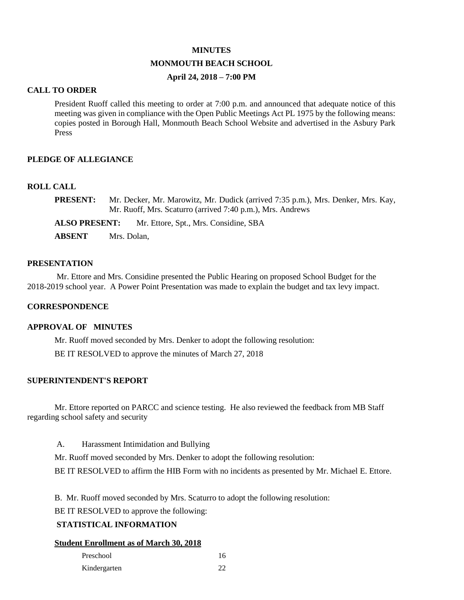#### **MINUTES**

# **MONMOUTH BEACH SCHOOL**

# **April 24, 2018 – 7:00 PM**

#### **CALL TO ORDER**

President Ruoff called this meeting to order at 7:00 p.m. and announced that adequate notice of this meeting was given in compliance with the Open Public Meetings Act PL 1975 by the following means: copies posted in Borough Hall, Monmouth Beach School Website and advertised in the Asbury Park Press

## **PLEDGE OF ALLEGIANCE**

#### **ROLL CALL**

| <b>PRESENT:</b> | Mr. Decker, Mr. Marowitz, Mr. Dudick (arrived 7:35 p.m.), Mrs. Denker, Mrs. Kay, |
|-----------------|----------------------------------------------------------------------------------|
|                 | Mr. Ruoff, Mrs. Scaturro (arrived 7:40 p.m.), Mrs. Andrews                       |

**ALSO PRESENT:** Mr. Ettore, Spt., Mrs. Considine, SBA

**ABSENT** Mrs. Dolan,

#### **PRESENTATION**

Mr. Ettore and Mrs. Considine presented the Public Hearing on proposed School Budget for the 2018-2019 school year. A Power Point Presentation was made to explain the budget and tax levy impact.

## **CORRESPONDENCE**

#### **APPROVAL OF MINUTES**

Mr. Ruoff moved seconded by Mrs. Denker to adopt the following resolution: BE IT RESOLVED to approve the minutes of March 27, 2018

## **SUPERINTENDENT'S REPORT**

Mr. Ettore reported on PARCC and science testing. He also reviewed the feedback from MB Staff regarding school safety and security

A. Harassment Intimidation and Bullying

Mr. Ruoff moved seconded by Mrs. Denker to adopt the following resolution:

BE IT RESOLVED to affirm the HIB Form with no incidents as presented by Mr. Michael E. Ettore.

B. Mr. Ruoff moved seconded by Mrs. Scaturro to adopt the following resolution:

BE IT RESOLVED to approve the following:

# **STATISTICAL INFORMATION**

#### **Student Enrollment as of March 30, 2018**

| Preschool    | 16 |
|--------------|----|
| Kindergarten | 22 |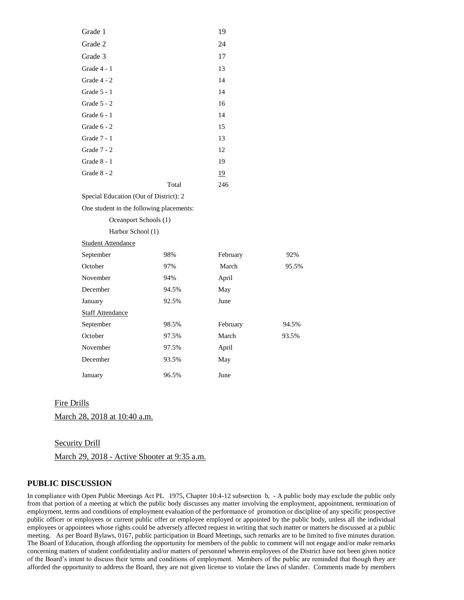| Grade 1       |       | 19  |
|---------------|-------|-----|
| Grade 2       |       | 24  |
| Grade 3       |       | 17  |
| Grade 4 - 1   |       | 13  |
| Grade 4 - 2   |       | 14  |
| Grade $5 - 1$ |       | 14  |
| Grade 5 - 2   |       | 16  |
| Grade $6 - 1$ |       | 14  |
| Grade $6 - 2$ |       | 15  |
| Grade 7 - 1   |       | 13  |
| Grade 7 - 2   |       | 12  |
| Grade $8 - 1$ |       | 19  |
| Grade 8 - 2   |       | 19  |
|               | Total | 246 |

Special Education (Out of District): 2

One student in the following placements:

| Oceanport Schools (1)     |       |          |       |
|---------------------------|-------|----------|-------|
| Harbor School (1)         |       |          |       |
| <b>Student Attendance</b> |       |          |       |
| September                 | 98%   | February | 92%   |
| October                   | 97%   | March    | 95.5% |
| November                  | 94%   | April    |       |
| December                  | 94.5% | May      |       |
| January                   | 92.5% | June     |       |
| <b>Staff Attendance</b>   |       |          |       |
| September                 | 98.5% | February | 94.5% |
| October                   | 97.5% | March    | 93.5% |
| November                  | 97.5% | April    |       |
| December                  | 93.5% | May      |       |
| January                   | 96.5% | June     |       |

#### Fire Drills

March 28, 2018 at 10:40 a.m.

#### Security Drill

March 29, 2018 - Active Shooter at 9:35 a.m.

#### **PUBLIC DISCUSSION**

In compliance with Open Public Meetings Act PL 1975, Chapter 10:4-12 subsection b, - A public body may exclude the public only from that portion of a meeting at which the public body discusses any matter involving the employment, appointment, termination of employment, terms and conditions of employment evaluation of the performance of promotion or discipline of any specific prospective public officer or employees or current public offer or employee employed or appointed by the public body, unless all the individual employees or appointees whose rights could be adversely affected request in writing that such matter or matters be discussed at a public meeting. As per Board Bylaws, 0167, public participation in Board Meetings, such remarks are to be limited to five minutes duration. The Board of Education, though affording the opportunity for members of the public to comment will not engage and/or make remarks concerning matters of student confidentiality and/or matters of personnel wherein employees of the District have not been given notice of the Board's intent to discuss their terms and conditions of employment. Members of the public are reminded that though they are afforded the opportunity to address the Board, they are not given license to violate the laws of slander. Comments made by members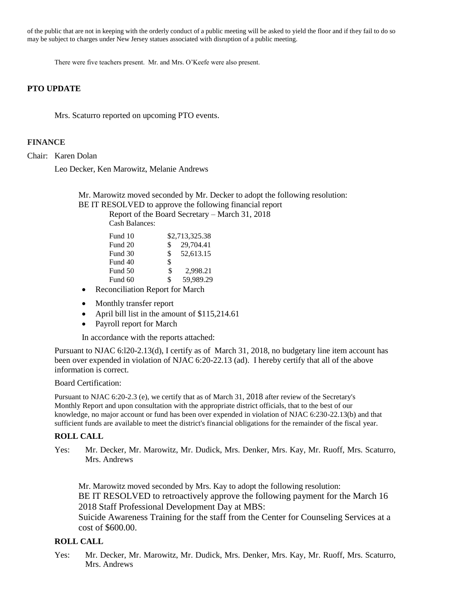of the public that are not in keeping with the orderly conduct of a public meeting will be asked to yield the floor and if they fail to do so may be subject to charges under New Jersey statues associated with disruption of a public meeting.

There were five teachers present. Mr. and Mrs. O'Keefe were also present.

## **PTO UPDATE**

Mrs. Scaturro reported on upcoming PTO events.

# **FINANCE**

Chair: Karen Dolan

Leo Decker, Ken Marowitz, Melanie Andrews

Mr. Marowitz moved seconded by Mr. Decker to adopt the following resolution: BE IT RESOLVED to approve the following financial report

Report of the Board Secretary – March 31, 2018 Cash Balances:

| Fund 10 | \$2,713,325.38  |  |
|---------|-----------------|--|
| Fund 20 | 29,704.41<br>S  |  |
| Fund 30 | 52,613.15<br>S. |  |
| Fund 40 | \$              |  |
| Fund 50 | S<br>2,998.21   |  |
| Fund 60 | 59,989.29<br>\$ |  |

- Reconciliation Report for March
- Monthly transfer report
- April bill list in the amount of \$115,214.61
- Payroll report for March

In accordance with the reports attached:

Pursuant to NJAC 6:l20-2.13(d), I certify as of March 31, 2018, no budgetary line item account has been over expended in violation of NJAC 6:20-22.13 (ad). I hereby certify that all of the above information is correct.

#### Board Certification:

Pursuant to NJAC 6:20-2.3 (e), we certify that as of March 31, 2018 after review of the Secretary's Monthly Report and upon consultation with the appropriate district officials, that to the best of our knowledge, no major account or fund has been over expended in violation of NJAC 6:230-22.13(b) and that sufficient funds are available to meet the district's financial obligations for the remainder of the fiscal year.

#### **ROLL CALL**

Yes:Mr. Decker, Mr. Marowitz, Mr. Dudick, Mrs. Denker, Mrs. Kay, Mr. Ruoff, Mrs. Scaturro, Mrs. Andrews

Mr. Marowitz moved seconded by Mrs. Kay to adopt the following resolution: BE IT RESOLVED to retroactively approve the following payment for the March 16 2018 Staff Professional Development Day at MBS:

Suicide Awareness Training for the staff from the Center for Counseling Services at a cost of \$600.00.

# **ROLL CALL**

Yes:Mr. Decker, Mr. Marowitz, Mr. Dudick, Mrs. Denker, Mrs. Kay, Mr. Ruoff, Mrs. Scaturro, Mrs. Andrews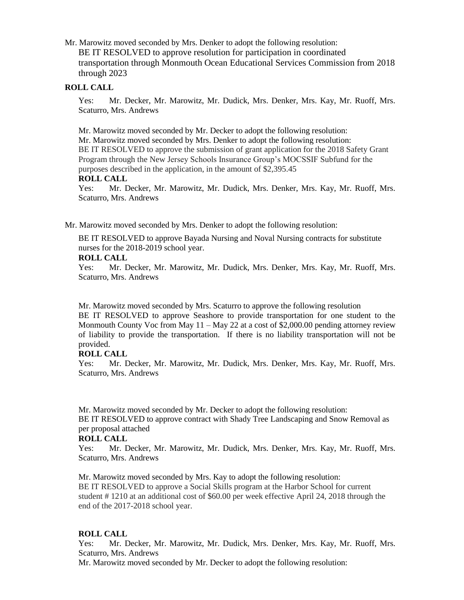Mr. Marowitz moved seconded by Mrs. Denker to adopt the following resolution: BE IT RESOLVED to approve resolution for participation in coordinated transportation through Monmouth Ocean Educational Services Commission from 2018 through 2023

## **ROLL CALL**

Yes:Mr. Decker, Mr. Marowitz, Mr. Dudick, Mrs. Denker, Mrs. Kay, Mr. Ruoff, Mrs. Scaturro, Mrs. Andrews

Mr. Marowitz moved seconded by Mr. Decker to adopt the following resolution: Mr. Marowitz moved seconded by Mrs. Denker to adopt the following resolution: BE IT RESOLVED to approve the submission of grant application for the 2018 Safety Grant Program through the New Jersey Schools Insurance Group's MOCSSIF Subfund for the purposes described in the application, in the amount of \$2,395.45

#### **ROLL CALL**

Yes:Mr. Decker, Mr. Marowitz, Mr. Dudick, Mrs. Denker, Mrs. Kay, Mr. Ruoff, Mrs. Scaturro, Mrs. Andrews

Mr. Marowitz moved seconded by Mrs. Denker to adopt the following resolution:

BE IT RESOLVED to approve Bayada Nursing and Noval Nursing contracts for substitute nurses for the 2018-2019 school year.

## **ROLL CALL**

Yes:Mr. Decker, Mr. Marowitz, Mr. Dudick, Mrs. Denker, Mrs. Kay, Mr. Ruoff, Mrs. Scaturro, Mrs. Andrews

Mr. Marowitz moved seconded by Mrs. Scaturro to approve the following resolution BE IT RESOLVED to approve Seashore to provide transportation for one student to the Monmouth County Voc from May 11 – May 22 at a cost of \$2,000.00 pending attorney review of liability to provide the transportation. If there is no liability transportation will not be provided.

# **ROLL CALL**

Yes:Mr. Decker, Mr. Marowitz, Mr. Dudick, Mrs. Denker, Mrs. Kay, Mr. Ruoff, Mrs. Scaturro, Mrs. Andrews

Mr. Marowitz moved seconded by Mr. Decker to adopt the following resolution: BE IT RESOLVED to approve contract with Shady Tree Landscaping and Snow Removal as per proposal attached

#### **ROLL CALL**

Yes:Mr. Decker, Mr. Marowitz, Mr. Dudick, Mrs. Denker, Mrs. Kay, Mr. Ruoff, Mrs. Scaturro, Mrs. Andrews

Mr. Marowitz moved seconded by Mrs. Kay to adopt the following resolution: BE IT RESOLVED to approve a Social Skills program at the Harbor School for current student # 1210 at an additional cost of \$60.00 per week effective April 24, 2018 through the end of the 2017-2018 school year.

# **ROLL CALL**

Yes:Mr. Decker, Mr. Marowitz, Mr. Dudick, Mrs. Denker, Mrs. Kay, Mr. Ruoff, Mrs. Scaturro, Mrs. Andrews

Mr. Marowitz moved seconded by Mr. Decker to adopt the following resolution: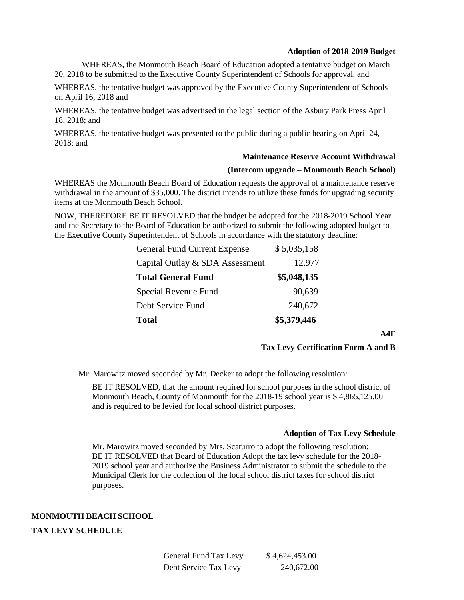#### **Adoption of 2018-2019 Budget**

WHEREAS, the Monmouth Beach Board of Education adopted a tentative budget on March 20, 2018 to be submitted to the Executive County Superintendent of Schools for approval, and

WHEREAS, the tentative budget was approved by the Executive County Superintendent of Schools on April 16, 2018 and

WHEREAS, the tentative budget was advertised in the legal section of the Asbury Park Press April 18, 2018; and

WHEREAS, the tentative budget was presented to the public during a public hearing on April 24, 2018; and

#### **Maintenance Reserve Account Withdrawal**

#### **(Intercom upgrade – Monmouth Beach School)**

WHEREAS the Monmouth Beach Board of Education requests the approval of a maintenance reserve withdrawal in the amount of \$35,000. The district intends to utilize these funds for upgrading security items at the Monmouth Beach School.

NOW, THEREFORE BE IT RESOLVED that the budget be adopted for the 2018-2019 School Year and the Secretary to the Board of Education be authorized to submit the following adopted budget to the Executive County Superintendent of Schools in accordance with the statutory deadline:

| <b>Total</b>                        | \$5,379,446 |
|-------------------------------------|-------------|
| Debt Service Fund                   | 240,672     |
| Special Revenue Fund                | 90,639      |
| <b>Total General Fund</b>           | \$5,048,135 |
| Capital Outlay & SDA Assessment     | 12,977      |
| <b>General Fund Current Expense</b> | \$5,035,158 |

**A4F**

#### **Tax Levy Certification Form A and B**

Mr. Marowitz moved seconded by Mr. Decker to adopt the following resolution:

BE IT RESOLVED, that the amount required for school purposes in the school district of Monmouth Beach, County of Monmouth for the 2018-19 school year is \$ 4,865,125.00 and is required to be levied for local school district purposes.

#### **Adoption of Tax Levy Schedule**

Mr. Marowitz moved seconded by Mrs. Scaturro to adopt the following resolution: BE IT RESOLVED that Board of Education Adopt the tax levy schedule for the 2018- 2019 school year and authorize the Business Administrator to submit the schedule to the Municipal Clerk for the collection of the local school district taxes for school district purposes.

## **MONMOUTH BEACH SCHOOL**

# **TAX LEVY SCHEDULE**

| General Fund Tax Levy | \$4,624,453.00 |
|-----------------------|----------------|
| Debt Service Tax Levy | 240,672.00     |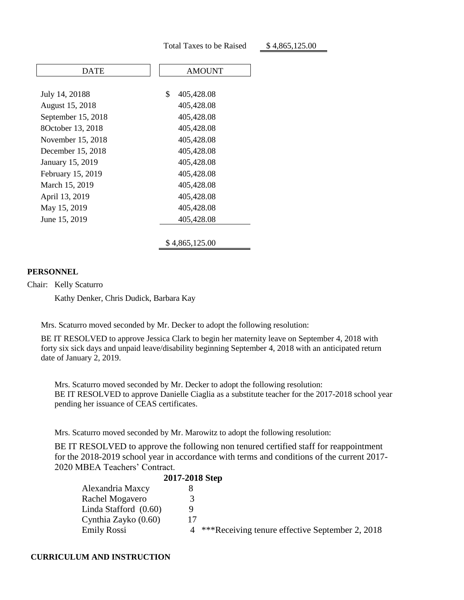| DATE               | <b>AMOUNT</b>    |
|--------------------|------------------|
|                    |                  |
| July 14, 20188     | \$<br>405,428.08 |
| August 15, 2018    | 405,428.08       |
| September 15, 2018 | 405,428.08       |
| 8October 13, 2018  | 405,428.08       |
| November 15, 2018  | 405,428.08       |
| December 15, 2018  | 405,428.08       |
| January 15, 2019   | 405,428.08       |
| February 15, 2019  | 405,428.08       |
| March 15, 2019     | 405,428.08       |
| April 13, 2019     | 405,428.08       |
| May 15, 2019       | 405,428.08       |
| June 15, 2019      | 405,428.08       |
|                    |                  |
|                    | \$4,865,125.00   |

#### **PERSONNEL**

Chair: Kelly Scaturro

Kathy Denker, Chris Dudick, Barbara Kay

Mrs. Scaturro moved seconded by Mr. Decker to adopt the following resolution:

BE IT RESOLVED to approve Jessica Clark to begin her maternity leave on September 4, 2018 with forty six sick days and unpaid leave/disability beginning September 4, 2018 with an anticipated return date of January 2, 2019.

Mrs. Scaturro moved seconded by Mr. Decker to adopt the following resolution: BE IT RESOLVED to approve Danielle Ciaglia as a substitute teacher for the 2017-2018 school year pending her issuance of CEAS certificates.

Mrs. Scaturro moved seconded by Mr. Marowitz to adopt the following resolution:

BE IT RESOLVED to approve the following non tenured certified staff for reappointment for the 2018-2019 school year in accordance with terms and conditions of the current 2017- 2020 MBEA Teachers' Contract.

|                         | 2017-2018 Step |                                                 |
|-------------------------|----------------|-------------------------------------------------|
| Alexandria Maxcy        |                |                                                 |
| Rachel Mogavero         |                |                                                 |
| Linda Stafford $(0.60)$ |                |                                                 |
| Cynthia Zayko (0.60)    | 17             |                                                 |
| <b>Emily Rossi</b>      |                | ***Receiving tenure effective September 2, 2018 |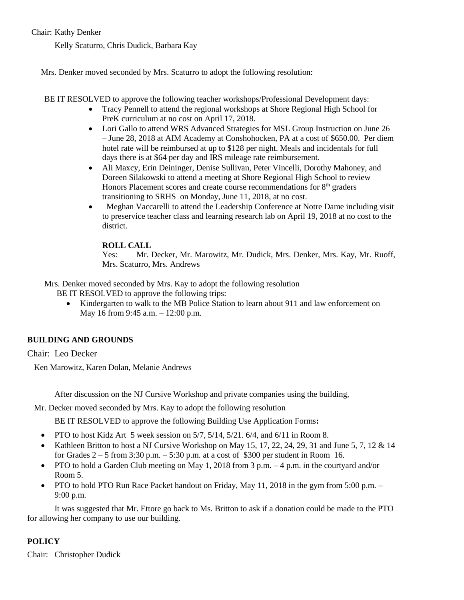# Chair: Kathy Denker

Kelly Scaturro, Chris Dudick, Barbara Kay

Mrs. Denker moved seconded by Mrs. Scaturro to adopt the following resolution:

BE IT RESOLVED to approve the following teacher workshops/Professional Development days:

- Tracy Pennell to attend the regional workshops at Shore Regional High School for PreK curriculum at no cost on April 17, 2018.
- Lori Gallo to attend WRS Advanced Strategies for MSL Group Instruction on June 26 – June 28, 2018 at AIM Academy at Conshohocken, PA at a cost of \$650.00. Per diem hotel rate will be reimbursed at up to \$128 per night. Meals and incidentals for full days there is at \$64 per day and IRS mileage rate reimbursement.
- Ali Maxcy, Erin Deininger, Denise Sullivan, Peter Vincelli, Dorothy Mahoney, and Doreen Silakowski to attend a meeting at Shore Regional High School to review Honors Placement scores and create course recommendations for  $8<sup>th</sup>$  graders transitioning to SRHS on Monday, June 11, 2018, at no cost.
- Meghan Vaccarelli to attend the Leadership Conference at Notre Dame including visit to preservice teacher class and learning research lab on April 19, 2018 at no cost to the district.

# **ROLL CALL**

Yes:Mr. Decker, Mr. Marowitz, Mr. Dudick, Mrs. Denker, Mrs. Kay, Mr. Ruoff, Mrs. Scaturro, Mrs. Andrews

Mrs. Denker moved seconded by Mrs. Kay to adopt the following resolution

BE IT RESOLVED to approve the following trips:

• Kindergarten to walk to the MB Police Station to learn about 911 and law enforcement on May 16 from 9:45 a.m. – 12:00 p.m.

# **BUILDING AND GROUNDS**

Chair: Leo Decker

Ken Marowitz, Karen Dolan, Melanie Andrews

After discussion on the NJ Cursive Workshop and private companies using the building,

Mr. Decker moved seconded by Mrs. Kay to adopt the following resolution

BE IT RESOLVED to approve the following Building Use Application Forms**:** 

- PTO to host Kidz Art 5 week session on  $5/7$ ,  $5/14$ ,  $5/21$ .  $6/4$ , and  $6/11$  in Room 8.
- Kathleen Britton to host a NJ Cursive Workshop on May 15, 17, 22, 24, 29, 31 and June 5, 7, 12 & 14 for Grades  $2 - 5$  from 3:30 p.m.  $- 5:30$  p.m. at a cost of \$300 per student in Room 16.
- PTO to hold a Garden Club meeting on May 1, 2018 from 3 p.m.  $-4$  p.m. in the courtyard and/or Room 5.
- PTO to hold PTO Run Race Packet handout on Friday, May 11, 2018 in the gym from 5:00 p.m. 9:00 p.m.

It was suggested that Mr. Ettore go back to Ms. Britton to ask if a donation could be made to the PTO for allowing her company to use our building.

# **POLICY**

Chair: Christopher Dudick